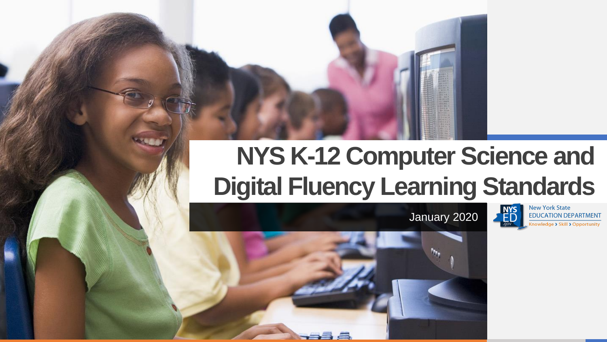## **NYS K-12 Computer Science and Digital Fluency Learning Standards**

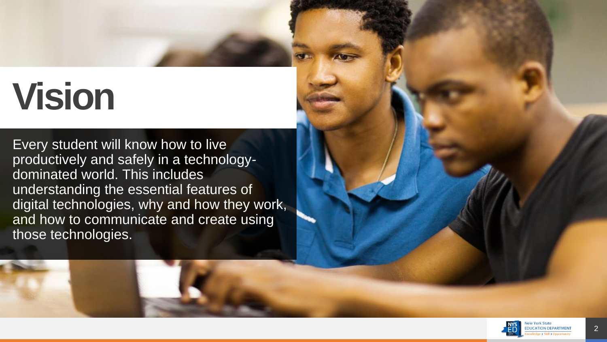# **Vision**

Every student will know how to live productively and safely in a technology dominated world. This includes understanding the essential features of digital technologies, why and how they work, and how to communicate and create using those technologies.

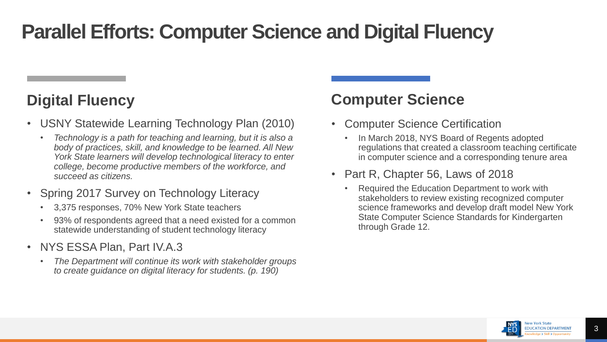### **Parallel Efforts: Computer Science and Digital Fluency**

#### **Digital Fluency**

- USNY Statewide Learning Technology Plan (2010)
	- *Technology is a path for teaching and learning, but it is also a body of practices, skill, and knowledge to be learned. All New York State learners will develop technological literacy to enter college, become productive members of the workforce, and succeed as citizens.*
- Spring 2017 Survey on Technology Literacy
	- 3,375 responses, 70% New York State teachers
	- 93% of respondents agreed that a need existed for a common statewide understanding of student technology literacy
- NYS ESSA Plan, Part IV.A.3
	- *The Department will continue its work with stakeholder groups to create guidance on digital literacy for students. (p. 190)*

#### **Computer Science**

- **Computer Science Certification** 
	- In March 2018, NYS Board of Regents adopted regulations that created a classroom teaching certificate in computer science and a corresponding tenure area
- Part R, Chapter 56, Laws of 2018
	- Required the Education Department to work with stakeholders to review existing recognized computer science frameworks and develop draft model New York State Computer Science Standards for Kindergarten through Grade 12.

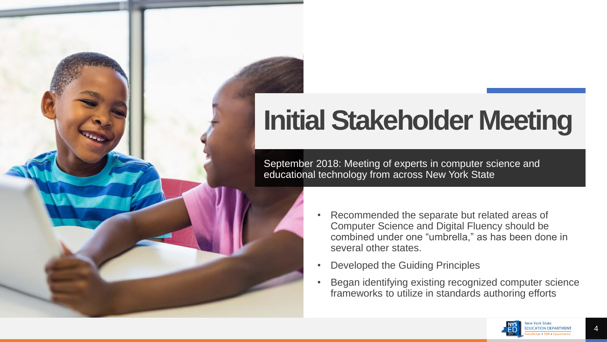## **Initial Stakeholder Meeting**

September 2018: Meeting of experts in computer science and educational technology from across New York State

- Recommended the separate but related areas of Computer Science and Digital Fluency should be combined under one "umbrella," as has been done in several other states.
- Developed the Guiding Principles
- Began identifying existing recognized computer science frameworks to utilize in standards authoring efforts

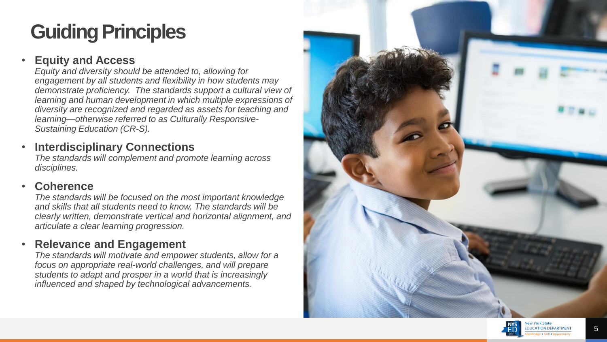### **Guiding Principles**

#### • **Equity and Access**

*Equity and diversity should be attended to, allowing for engagement by all students and flexibility in how students may demonstrate proficiency. The standards support a cultural view of learning and human development in which multiple expressions of diversity are recognized and regarded as assets for teaching and learning—otherwise referred to as Culturally Responsive-Sustaining Education (CR-S).*

#### **Interdisciplinary Connections**

*The standards will complement and promote learning across disciplines.*

#### • **Coherence**

*The standards will be focused on the most important knowledge and skills that all students need to know. The standards will be clearly written, demonstrate vertical and horizontal alignment, and articulate a clear learning progression.*

#### • **Relevance and Engagement**

*The standards will motivate and empower students, allow for a focus on appropriate real-world challenges, and will prepare students to adapt and prosper in a world that is increasingly influenced and shaped by technological advancements.*



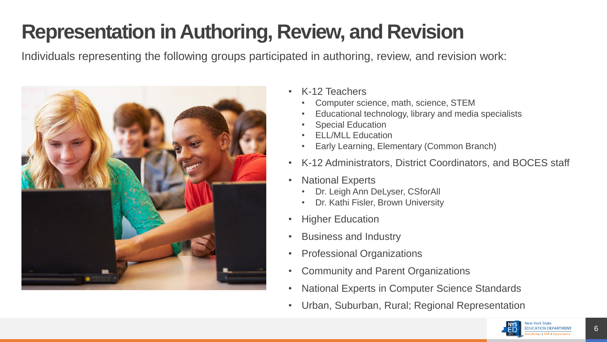### **Representation in Authoring, Review, and Revision**

Individuals representing the following groups participated in authoring, review, and revision work:



- K-12 Teachers
	- Computer science, math, science, STEM
	- Educational technology, library and media specialists
	- **Special Education**
	- ELL/MLL Education
	- Early Learning, Elementary (Common Branch)
- K-12 Administrators, District Coordinators, and BOCES staff
- **National Experts** 
	- Dr. Leigh Ann DeLyser, CSforAll
	- Dr. Kathi Fisler, Brown University
- **Higher Education**
- Business and Industry
- Professional Organizations
- Community and Parent Organizations
- National Experts in Computer Science Standards
- Urban, Suburban, Rural; Regional Representation

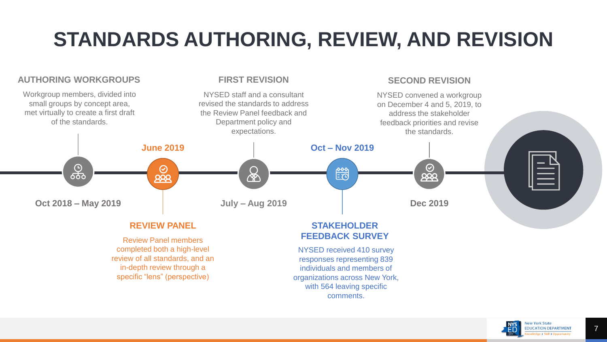### **STANDARDS AUTHORING, REVIEW, AND REVISION**

#### **AUTHORING WORKGROUPS FIRST REVISION SECOND REVISION** Workgroup members, divided into NYSED staff and a consultant NYSED convened a workgroup small groups by concept area, revised the standards to address on December 4 and 5, 2019, to met virtually to create a first draft the Review Panel feedback and address the stakeholder of the standards. Department policy and feedback priorities and revise expectations. the standards. **June 2019 Oct – Nov 2019** டு<br>660  $\bm{\odot}$  $\odot$ 曾  $999$  $\overline{222}$ ∕ନ∕ **Oct 2018 – May 2019 July – Aug 2019 Dec 2019**

#### **REVIEW PANEL**

Review Panel members completed both a high-level review of all standards, and an in-depth review through a specific "lens" (perspective)

#### **STAKEHOLDER FEEDBACK SURVEY**

NYSED received 410 survey responses representing 839 individuals and members of organizations across New York, with 564 leaving specific comments.

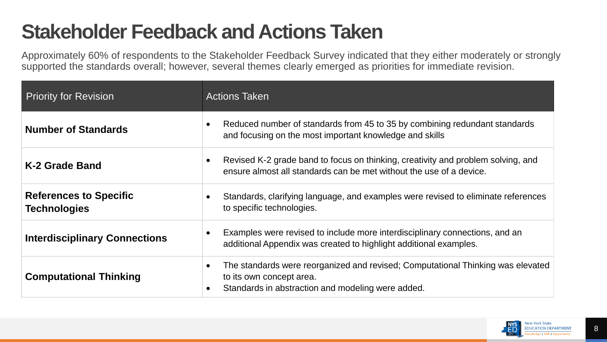### **Stakeholder Feedback and Actions Taken**

Approximately 60% of respondents to the Stakeholder Feedback Survey indicated that they either moderately or strongly supported the standards overall; however, several themes clearly emerged as priorities for immediate revision.

| <b>Priority for Revision</b>                         | <b>Actions Taken</b>                                                                                                                                             |  |
|------------------------------------------------------|------------------------------------------------------------------------------------------------------------------------------------------------------------------|--|
| <b>Number of Standards</b>                           | Reduced number of standards from 45 to 35 by combining redundant standards<br>and focusing on the most important knowledge and skills                            |  |
| K-2 Grade Band                                       | Revised K-2 grade band to focus on thinking, creativity and problem solving, and<br>ensure almost all standards can be met without the use of a device.          |  |
| <b>References to Specific</b><br><b>Technologies</b> | Standards, clarifying language, and examples were revised to eliminate references<br>to specific technologies.                                                   |  |
| <b>Interdisciplinary Connections</b>                 | Examples were revised to include more interdisciplinary connections, and an<br>additional Appendix was created to highlight additional examples.                 |  |
| <b>Computational Thinking</b>                        | The standards were reorganized and revised; Computational Thinking was elevated<br>to its own concept area.<br>Standards in abstraction and modeling were added. |  |

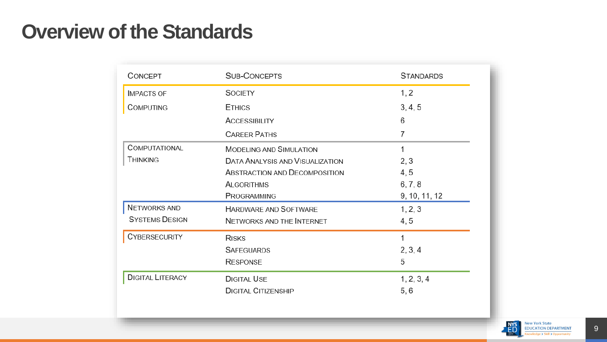#### **Overview of the Standards**

| CONCEPT                 | <b>SUB-CONCEPTS</b>                    | <b>STANDARDS</b> |  |
|-------------------------|----------------------------------------|------------------|--|
| <b>IMPACTS OF</b>       | <b>SOCIETY</b>                         | 1, 2             |  |
| <b>COMPUTING</b>        | <b>ETHICS</b>                          | 3, 4, 5          |  |
|                         | <b>ACCESSIBILITY</b>                   | 6                |  |
|                         | <b>CAREER PATHS</b>                    |                  |  |
| COMPUTATIONAL           | <b>MODELING AND SIMULATION</b>         | 1                |  |
| <b>THINKING</b>         | <b>DATA ANALYSIS AND VISUALIZATION</b> | 2, 3             |  |
|                         | ABSTRACTION AND DECOMPOSITION          | 4,5              |  |
|                         | <b>ALGORITHMS</b>                      | 6, 7, 8          |  |
|                         | PROGRAMMING                            | 9, 10, 11, 12    |  |
| NETWORKS AND            | <b>HARDWARE AND SOFTWARE</b>           | 1, 2, 3          |  |
| <b>SYSTEMS DESIGN</b>   | <b>NETWORKS AND THE INTERNET</b>       | 4, 5             |  |
| <b>CYBERSECURITY</b>    | <b>RISKS</b>                           | 1                |  |
|                         | <b>SAFEGUARDS</b>                      | 2, 3, 4          |  |
|                         | <b>RESPONSE</b>                        | 5                |  |
| <b>DIGITAL LITERACY</b> | <b>DIGITAL USE</b>                     | 1, 2, 3, 4       |  |
|                         | <b>DIGITAL CITIZENSHIP</b>             | 5, 6             |  |



Skill > Opportunity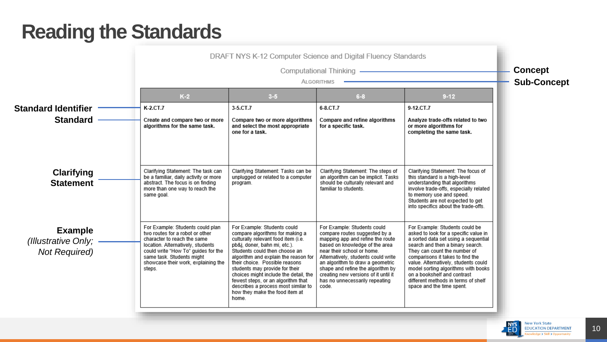### **Reading the Standards**

|                                                               |                                                                                                                                                                                                                                                              | Computational Thinking - <b>Computational</b><br><b>ALGORITHMS</b>                                                                                                                                                                                                                                                                                                                                                                                  |                                                                                                                                                                                                                                                                                                                                                                     |                                                                                                                                                                                                                                                                                                                                                                                                           |  |
|---------------------------------------------------------------|--------------------------------------------------------------------------------------------------------------------------------------------------------------------------------------------------------------------------------------------------------------|-----------------------------------------------------------------------------------------------------------------------------------------------------------------------------------------------------------------------------------------------------------------------------------------------------------------------------------------------------------------------------------------------------------------------------------------------------|---------------------------------------------------------------------------------------------------------------------------------------------------------------------------------------------------------------------------------------------------------------------------------------------------------------------------------------------------------------------|-----------------------------------------------------------------------------------------------------------------------------------------------------------------------------------------------------------------------------------------------------------------------------------------------------------------------------------------------------------------------------------------------------------|--|
|                                                               | $K-2$                                                                                                                                                                                                                                                        | $3 - 5$                                                                                                                                                                                                                                                                                                                                                                                                                                             | $6 - 8$                                                                                                                                                                                                                                                                                                                                                             | $9 - 12$                                                                                                                                                                                                                                                                                                                                                                                                  |  |
| <b>Standard Identifier</b>                                    | K-2.CT.7                                                                                                                                                                                                                                                     | 3-5.CT.7                                                                                                                                                                                                                                                                                                                                                                                                                                            | 6-8.CT.7                                                                                                                                                                                                                                                                                                                                                            | 9-12.CT.7                                                                                                                                                                                                                                                                                                                                                                                                 |  |
| <b>Standard</b>                                               | Create and compare two or more<br>algorithms for the same task.                                                                                                                                                                                              | Compare two or more algorithms<br>and select the most appropriate<br>one for a task.                                                                                                                                                                                                                                                                                                                                                                | Compare and refine algorithms<br>for a specific task.                                                                                                                                                                                                                                                                                                               | Analyze trade-offs related to two<br>or more algorithms for<br>completing the same task.                                                                                                                                                                                                                                                                                                                  |  |
| <b>Clarifying</b><br><b>Statement</b>                         | Clarifying Statement: The task can<br>be a familiar, daily activity or more<br>abstract. The focus is on finding<br>more than one way to reach the<br>same goal.                                                                                             | Clarifying Statement: Tasks can be<br>unplugged or related to a computer<br>program.                                                                                                                                                                                                                                                                                                                                                                | Clarifying Statement: The steps of<br>an algorithm can be implicit. Tasks<br>should be culturally relevant and<br>familiar to students.                                                                                                                                                                                                                             | Clarifying Statement: The focus of<br>this standard is a high-level<br>understanding that algorithms<br>involve trade-offs, especially related<br>to memory use and speed.<br>Students are not expected to get<br>into specifics about the trade-offs.                                                                                                                                                    |  |
| <b>Example</b><br>(Illustrative Only;<br><b>Not Required)</b> | For Example: Students could plan<br>two routes for a robot or other<br>character to reach the same<br>location. Alternatively, students<br>could write "How To" guides for the<br>same task. Students might<br>showcase their work, explaining the<br>steps. | For Example: Students could<br>compare algorithms for making a<br>culturally relevant food item (i.e.<br>pb&j, doner, bahn mi, etc.).<br>Students could then choose an<br>algorithm and explain the reason for<br>their choice. Possible reasons<br>students may provide for their<br>choices might include the detail, the<br>fewest steps, or an algorithm that<br>describes a process most similar to<br>how they make the food item at<br>home. | For Example: Students could<br>compare routes suggested by a<br>mapping app and refine the route<br>based on knowledge of the area<br>near their school or home.<br>Alternatively, students could write<br>an algorithm to draw a geometric<br>shape and refine the algorithm by<br>creating new versions of it until it<br>has no unnecessarily repeating<br>code. | For Example: Students could be<br>asked to look for a specific value in<br>a sorted data set using a sequential<br>search and then a binary search.<br>They can count the number of<br>comparisons it takes to find the<br>value. Alternatively, students could<br>model sorting algorithms with books<br>on a bookshelf and contrast<br>different methods in terms of shelf<br>space and the time spent. |  |



**ARTMENT**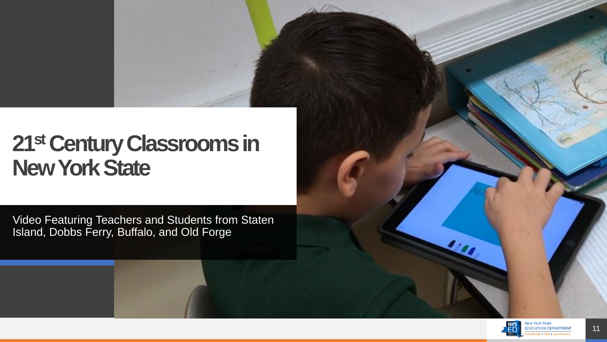### **21stCentur[y Classrooms in](https://vimeo.com/382197456)  New York State**

Video Featuring Teachers and Students from Staten Island, Dobbs Ferry, Buffalo, and Old Forge

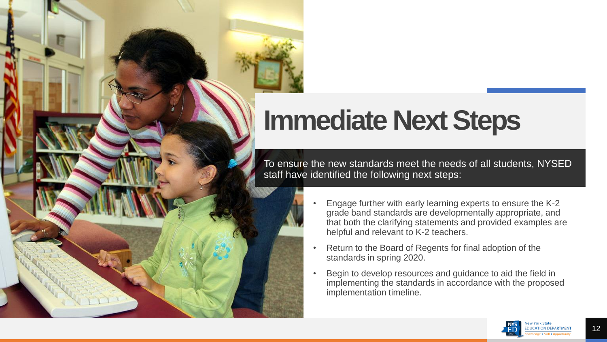## **Immediate Next Steps**

To ensure the new standards meet the needs of all students, NYSED staff have identified the following next steps:

- Engage further with early learning experts to ensure the K-2 grade band standards are developmentally appropriate, and that both the clarifying statements and provided examples are helpful and relevant to K-2 teachers.
- Return to the Board of Regents for final adoption of the standards in spring 2020.
- Begin to develop resources and guidance to aid the field in implementing the standards in accordance with the proposed implementation timeline.

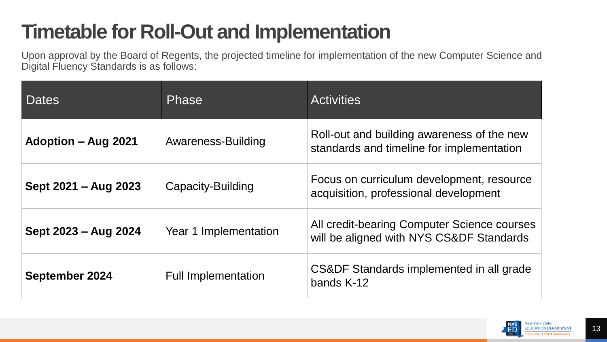### **Timetable for Roll-Out and Implementation**

Upon approval by the Board of Regents, the projected timeline for implementation of the new Computer Science and Digital Fluency Standards is as follows:

| Dates                      | <b>Phase</b>               | <b>Activities</b>                                                                       |
|----------------------------|----------------------------|-----------------------------------------------------------------------------------------|
| <b>Adoption – Aug 2021</b> | Awareness-Building         | Roll-out and building awareness of the new<br>standards and timeline for implementation |
| Sept 2021 – Aug 2023       | Capacity-Building          | Focus on curriculum development, resource<br>acquisition, professional development      |
| Sept 2023 – Aug 2024       | Year 1 Implementation      | All credit-bearing Computer Science courses<br>will be aligned with NYS CS&DF Standards |
| <b>September 2024</b>      | <b>Full Implementation</b> | CS&DF Standards implemented in all grade<br>bands K-12                                  |